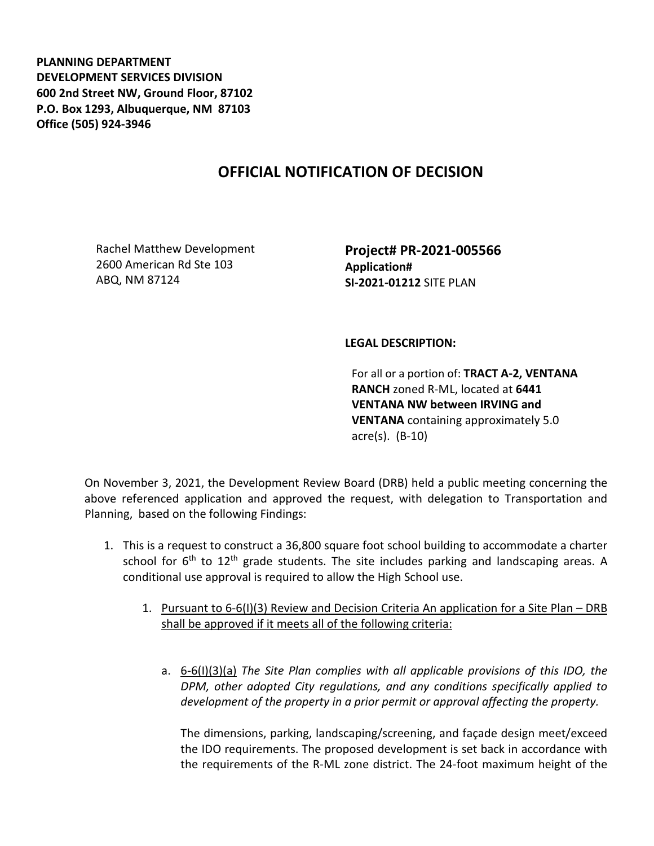**PLANNING DEPARTMENT DEVELOPMENT SERVICES DIVISION 600 2nd Street NW, Ground Floor, 87102 P.O. Box 1293, Albuquerque, NM 87103 Office (505) 924-3946** 

## **OFFICIAL NOTIFICATION OF DECISION**

Rachel Matthew Development 2600 American Rd Ste 103 ABQ, NM 87124

**Project# PR-2021-005566 Application# SI-2021-01212** SITE PLAN

## **LEGAL DESCRIPTION:**

For all or a portion of: **TRACT A-2, VENTANA RANCH** zoned R-ML, located at **6441 VENTANA NW between IRVING and VENTANA** containing approximately 5.0 acre(s). (B-10)

On November 3, 2021, the Development Review Board (DRB) held a public meeting concerning the above referenced application and approved the request, with delegation to Transportation and Planning, based on the following Findings:

- 1. This is a request to construct a 36,800 square foot school building to accommodate a charter school for  $6<sup>th</sup>$  to  $12<sup>th</sup>$  grade students. The site includes parking and landscaping areas. A conditional use approval is required to allow the High School use.
	- 1. Pursuant to 6-6(I)(3) Review and Decision Criteria An application for a Site Plan DRB shall be approved if it meets all of the following criteria:
		- a. 6-6(I)(3)(a) *The Site Plan complies with all applicable provisions of this IDO, the DPM, other adopted City regulations, and any conditions specifically applied to development of the property in a prior permit or approval affecting the property.*

The dimensions, parking, landscaping/screening, and façade design meet/exceed the IDO requirements. The proposed development is set back in accordance with the requirements of the R-ML zone district. The 24-foot maximum height of the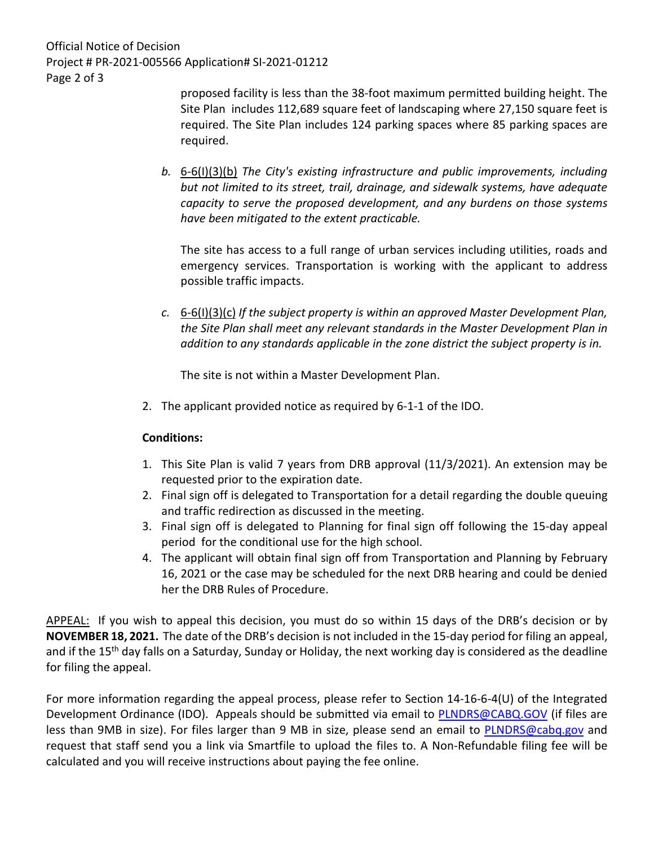Official Notice of Decision Project # PR-2021-005566 Application# SI-2021-01212 Page 2 of 3

proposed facility is less than the 38-foot maximum permitted building height. The Site Plan includes 112,689 square feet of landscaping where 27,150 square feet is required. The Site Plan includes 124 parking spaces where 85 parking spaces are required.

*b.* 6-6(I)(3)(b) *The City's existing infrastructure and public improvements, including but not limited to its street, trail, drainage, and sidewalk systems, have adequate capacity to serve the proposed development, and any burdens on those systems have been mitigated to the extent practicable.* 

The site has access to a full range of urban services including utilities, roads and emergency services. Transportation is working with the applicant to address possible traffic impacts.

*c.* 6-6(I)(3)(c) *If the subject property is within an approved Master Development Plan, the Site Plan shall meet any relevant standards in the Master Development Plan in addition to any standards applicable in the zone district the subject property is in.*

The site is not within a Master Development Plan.

2. The applicant provided notice as required by 6-1-1 of the IDO.

## **Conditions:**

- 1. This Site Plan is valid 7 years from DRB approval (11/3/2021). An extension may be requested prior to the expiration date.
- 2. Final sign off is delegated to Transportation for a detail regarding the double queuing and traffic redirection as discussed in the meeting.
- 3. Final sign off is delegated to Planning for final sign off following the 15-day appeal period for the conditional use for the high school.
- 4. The applicant will obtain final sign off from Transportation and Planning by February 16, 2021 or the case may be scheduled for the next DRB hearing and could be denied her the DRB Rules of Procedure.

APPEAL: If you wish to appeal this decision, you must do so within 15 days of the DRB's decision or by **NOVEMBER 18, 2021.** The date of the DRB's decision is not included in the 15-day period for filing an appeal, and if the 15<sup>th</sup> day falls on a Saturday, Sunday or Holiday, the next working day is considered as the deadline for filing the appeal.

For more information regarding the appeal process, please refer to Section 14-16-6-4(U) of the Integrated Development Ordinance (IDO). Appeals should be submitted via email to [PLNDRS@CABQ.GOV](mailto:PLNDRS@CABQ.GOV) (if files are less than 9MB in size). For files larger than 9 MB in size, please send an email to **PLNDRS@cabq.gov** and request that staff send you a link via Smartfile to upload the files to. A Non-Refundable filing fee will be calculated and you will receive instructions about paying the fee online.